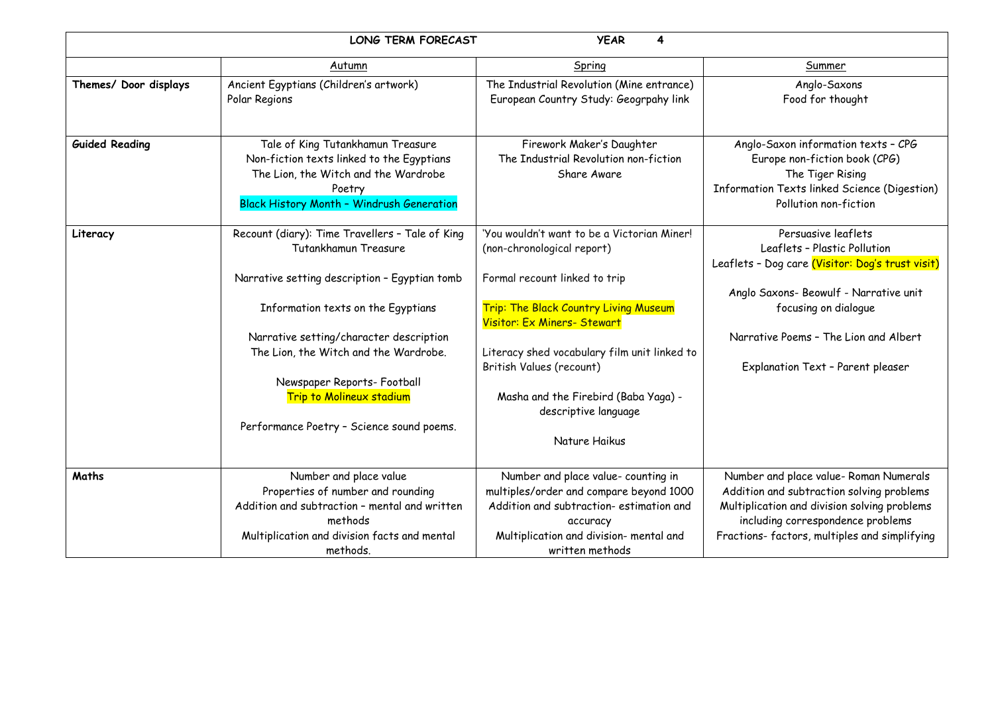| LONG TERM FORECAST<br><b>YEAR</b><br>4 |                                                                                                                                                                                                                                                                                                                                                                   |                                                                                                                                                                                                                                                                                                                                                 |                                                                                                                                                                                                                                                         |
|----------------------------------------|-------------------------------------------------------------------------------------------------------------------------------------------------------------------------------------------------------------------------------------------------------------------------------------------------------------------------------------------------------------------|-------------------------------------------------------------------------------------------------------------------------------------------------------------------------------------------------------------------------------------------------------------------------------------------------------------------------------------------------|---------------------------------------------------------------------------------------------------------------------------------------------------------------------------------------------------------------------------------------------------------|
|                                        | Autumn                                                                                                                                                                                                                                                                                                                                                            | Spring                                                                                                                                                                                                                                                                                                                                          | Summer                                                                                                                                                                                                                                                  |
| Themes/ Door displays                  | Ancient Egyptians (Children's artwork)<br>Polar Regions                                                                                                                                                                                                                                                                                                           | The Industrial Revolution (Mine entrance)<br>European Country Study: Geogrpahy link                                                                                                                                                                                                                                                             | Anglo-Saxons<br>Food for thought                                                                                                                                                                                                                        |
| <b>Guided Reading</b>                  | Tale of King Tutankhamun Treasure<br>Non-fiction texts linked to the Egyptians<br>The Lion, the Witch and the Wardrobe<br>Poetry<br><b>Black History Month - Windrush Generation</b>                                                                                                                                                                              | Firework Maker's Daughter<br>The Industrial Revolution non-fiction<br>Share Aware                                                                                                                                                                                                                                                               | Anglo-Saxon information texts - CPG<br>Europe non-fiction book (CPG)<br>The Tiger Rising<br>Information Texts linked Science (Digestion)<br>Pollution non-fiction                                                                                       |
| Literacy                               | Recount (diary): Time Travellers - Tale of King<br>Tutankhamun Treasure<br>Narrative setting description - Egyptian tomb<br>Information texts on the Egyptians<br>Narrative setting/character description<br>The Lion, the Witch and the Wardrobe.<br>Newspaper Reports- Football<br><b>Trip to Molineux stadium</b><br>Performance Poetry - Science sound poems. | 'You wouldn't want to be a Victorian Miner!<br>(non-chronological report)<br>Formal recount linked to trip<br>Trip: The Black Country Living Museum<br>Visitor: Ex Miners- Stewart<br>Literacy shed vocabulary film unit linked to<br>British Values (recount)<br>Masha and the Firebird (Baba Yaga) -<br>descriptive language<br>Nature Haikus | Persuasive leaflets<br>Leaflets - Plastic Pollution<br>Leaflets - Dog care (Visitor: Dog's trust visit)<br>Anglo Saxons- Beowulf - Narrative unit<br>focusing on dialogue<br>Narrative Poems - The Lion and Albert<br>Explanation Text - Parent pleaser |
| Maths                                  | Number and place value<br>Properties of number and rounding<br>Addition and subtraction - mental and written<br>methods<br>Multiplication and division facts and mental<br>methods.                                                                                                                                                                               | Number and place value- counting in<br>multiples/order and compare beyond 1000<br>Addition and subtraction-estimation and<br>accuracy<br>Multiplication and division- mental and<br>written methods                                                                                                                                             | Number and place value- Roman Numerals<br>Addition and subtraction solving problems<br>Multiplication and division solving problems<br>including correspondence problems<br>Fractions-factors, multiples and simplifying                                |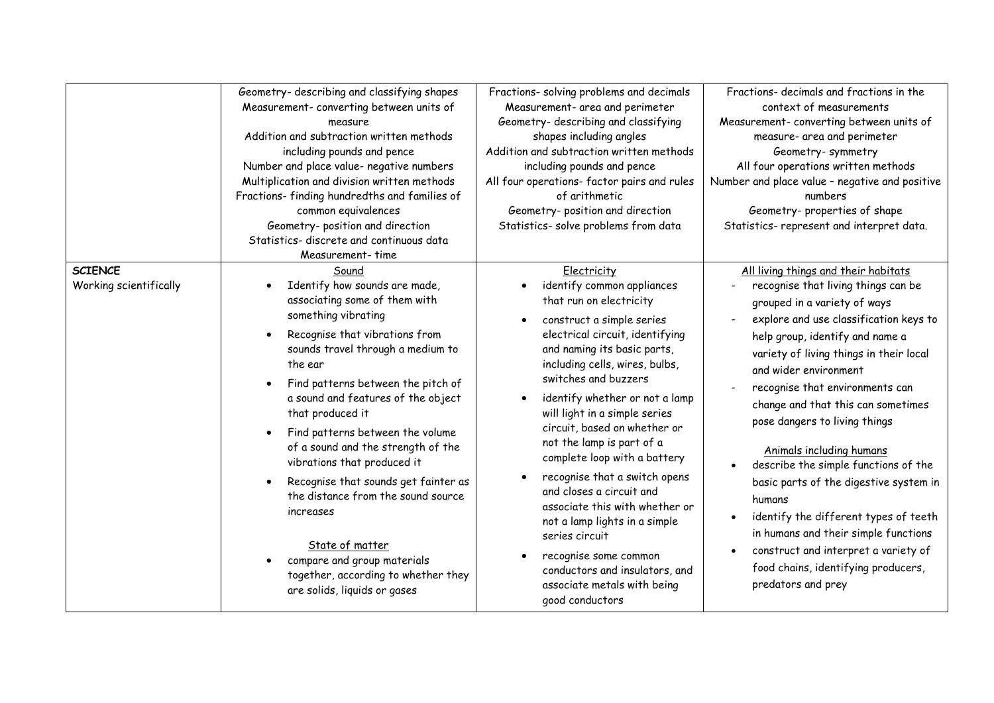|                                          | Geometry- describing and classifying shapes<br>Measurement- converting between units of<br>measure<br>Addition and subtraction written methods<br>including pounds and pence<br>Number and place value- negative numbers<br>Multiplication and division written methods<br>Fractions-finding hundredths and families of<br>common equivalences<br>Geometry- position and direction<br>Statistics- discrete and continuous data<br>Measurement- time                                                                                                                                                           | Fractions- solving problems and decimals<br>Measurement- area and perimeter<br>Geometry- describing and classifying<br>shapes including angles<br>Addition and subtraction written methods<br>including pounds and pence<br>All four operations- factor pairs and rules<br>of arithmetic<br>Geometry- position and direction<br>Statistics- solve problems from data                                                                                                                                                                                                                                                                                         | Fractions- decimals and fractions in the<br>context of measurements<br>Measurement- converting between units of<br>measure- area and perimeter<br>Geometry-symmetry<br>All four operations written methods<br>Number and place value - negative and positive<br>numbers<br>Geometry-properties of shape<br>Statistics- represent and interpret data.                                                                                                                                                                                                                                                                                                                                                                        |
|------------------------------------------|---------------------------------------------------------------------------------------------------------------------------------------------------------------------------------------------------------------------------------------------------------------------------------------------------------------------------------------------------------------------------------------------------------------------------------------------------------------------------------------------------------------------------------------------------------------------------------------------------------------|--------------------------------------------------------------------------------------------------------------------------------------------------------------------------------------------------------------------------------------------------------------------------------------------------------------------------------------------------------------------------------------------------------------------------------------------------------------------------------------------------------------------------------------------------------------------------------------------------------------------------------------------------------------|-----------------------------------------------------------------------------------------------------------------------------------------------------------------------------------------------------------------------------------------------------------------------------------------------------------------------------------------------------------------------------------------------------------------------------------------------------------------------------------------------------------------------------------------------------------------------------------------------------------------------------------------------------------------------------------------------------------------------------|
| <b>SCIENCE</b><br>Working scientifically | Sound<br>Identify how sounds are made,<br>associating some of them with<br>something vibrating<br>Recognise that vibrations from<br>sounds travel through a medium to<br>the ear<br>Find patterns between the pitch of<br>a sound and features of the object<br>that produced it<br>Find patterns between the volume<br>of a sound and the strength of the<br>vibrations that produced it<br>Recognise that sounds get fainter as<br>the distance from the sound source<br>increases<br>State of matter<br>compare and group materials<br>together, according to whether they<br>are solids, liquids or gases | Electricity<br>identify common appliances<br>that run on electricity<br>construct a simple series<br>electrical circuit, identifying<br>and naming its basic parts,<br>including cells, wires, bulbs,<br>switches and buzzers<br>identify whether or not a lamp<br>will light in a simple series<br>circuit, based on whether or<br>not the lamp is part of a<br>complete loop with a battery<br>recognise that a switch opens<br>and closes a circuit and<br>associate this with whether or<br>not a lamp lights in a simple<br>series circuit<br>recognise some common<br>conductors and insulators, and<br>associate metals with being<br>good conductors | All living things and their habitats<br>recognise that living things can be<br>grouped in a variety of ways<br>explore and use classification keys to<br>help group, identify and name a<br>variety of living things in their local<br>and wider environment<br>recognise that environments can<br>change and that this can sometimes<br>pose dangers to living things<br>Animals including humans<br>describe the simple functions of the<br>$\bullet$<br>basic parts of the digestive system in<br>humans<br>identify the different types of teeth<br>$\bullet$<br>in humans and their simple functions<br>construct and interpret a variety of<br>$\bullet$<br>food chains, identifying producers,<br>predators and prey |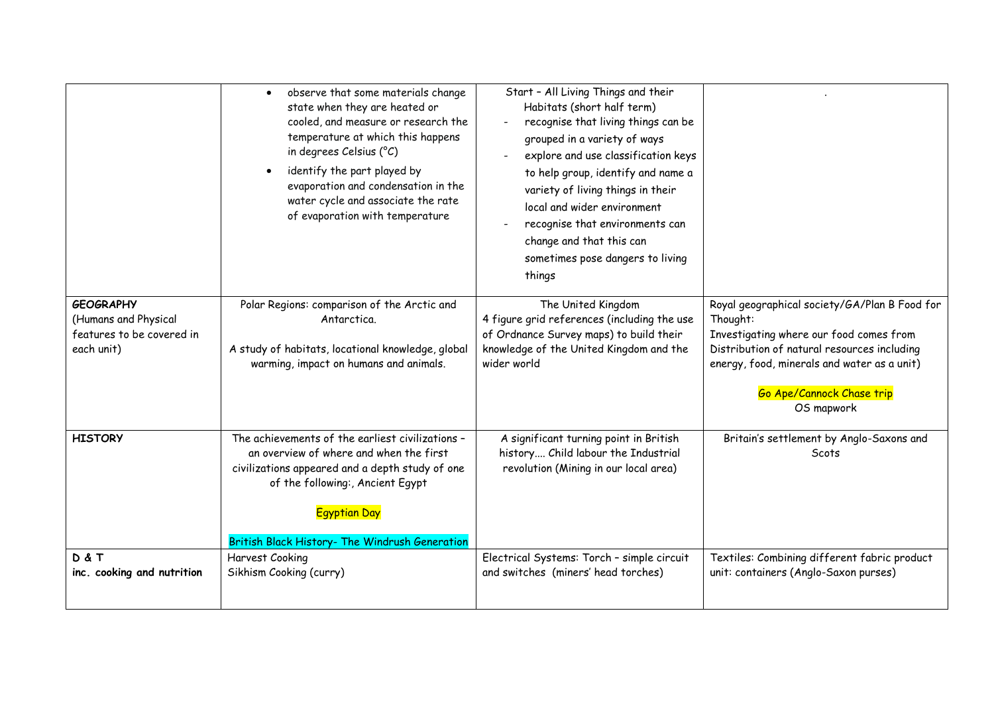|                                                                                     | observe that some materials change<br>$\bullet$<br>state when they are heated or<br>cooled, and measure or research the<br>temperature at which this happens<br>in degrees Celsius (°C)<br>identify the part played by<br>$\bullet$<br>evaporation and condensation in the<br>water cycle and associate the rate<br>of evaporation with temperature | Start - All Living Things and their<br>Habitats (short half term)<br>recognise that living things can be<br>grouped in a variety of ways<br>explore and use classification keys<br>to help group, identify and name a<br>variety of living things in their<br>local and wider environment<br>recognise that environments can<br>change and that this can<br>sometimes pose dangers to living<br>things |                                                                                                                                                                                                                                               |
|-------------------------------------------------------------------------------------|-----------------------------------------------------------------------------------------------------------------------------------------------------------------------------------------------------------------------------------------------------------------------------------------------------------------------------------------------------|--------------------------------------------------------------------------------------------------------------------------------------------------------------------------------------------------------------------------------------------------------------------------------------------------------------------------------------------------------------------------------------------------------|-----------------------------------------------------------------------------------------------------------------------------------------------------------------------------------------------------------------------------------------------|
| <b>GEOGRAPHY</b><br>(Humans and Physical<br>features to be covered in<br>each unit) | Polar Regions: comparison of the Arctic and<br>Antarctica.<br>A study of habitats, locational knowledge, global<br>warming, impact on humans and animals.                                                                                                                                                                                           | The United Kingdom<br>4 figure grid references (including the use<br>of Ordnance Survey maps) to build their<br>knowledge of the United Kingdom and the<br>wider world                                                                                                                                                                                                                                 | Royal geographical society/GA/Plan B Food for<br>Thought:<br>Investigating where our food comes from<br>Distribution of natural resources including<br>energy, food, minerals and water as a unit)<br>Go Ape/Cannock Chase trip<br>OS mapwork |
| <b>HISTORY</b>                                                                      | The achievements of the earliest civilizations -<br>an overview of where and when the first<br>civilizations appeared and a depth study of one<br>of the following:, Ancient Egypt<br><b>Egyptian Day</b><br>British Black History- The Windrush Generation                                                                                         | A significant turning point in British<br>history Child labour the Industrial<br>revolution (Mining in our local area)                                                                                                                                                                                                                                                                                 | Britain's settlement by Anglo-Saxons and<br>Scots                                                                                                                                                                                             |
| D&T<br>inc. cooking and nutrition                                                   | Harvest Cooking<br>Sikhism Cooking (curry)                                                                                                                                                                                                                                                                                                          | Electrical Systems: Torch - simple circuit<br>and switches (miners' head torches)                                                                                                                                                                                                                                                                                                                      | Textiles: Combining different fabric product<br>unit: containers (Anglo-Saxon purses)                                                                                                                                                         |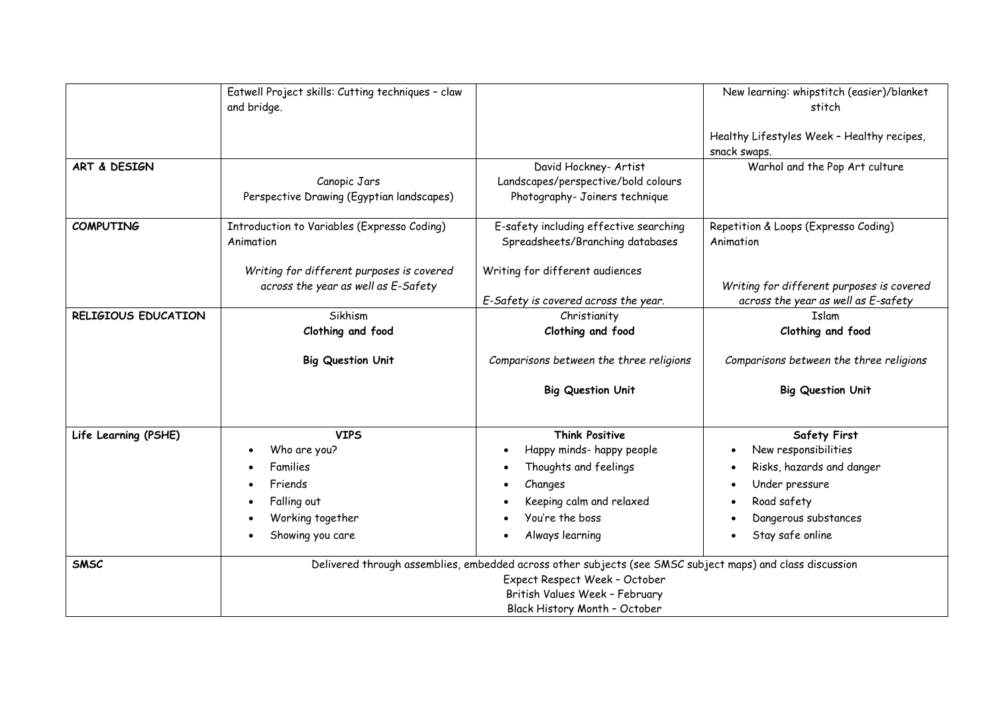|                            | Eatwell Project skills: Cutting techniques - claw<br>and bridge.                                                                                                                                              |                                                                                                | New learning: whipstitch (easier)/blanket<br>stitch<br>Healthy Lifestyles Week - Healthy recipes, |
|----------------------------|---------------------------------------------------------------------------------------------------------------------------------------------------------------------------------------------------------------|------------------------------------------------------------------------------------------------|---------------------------------------------------------------------------------------------------|
|                            |                                                                                                                                                                                                               |                                                                                                | snack swaps.                                                                                      |
| ART & DESIGN               | Canopic Jars<br>Perspective Drawing (Egyptian landscapes)                                                                                                                                                     | David Hockney- Artist<br>Landscapes/perspective/bold colours<br>Photography- Joiners technique | Warhol and the Pop Art culture                                                                    |
| <b>COMPUTING</b>           | Introduction to Variables (Expresso Coding)<br>Animation                                                                                                                                                      | E-safety including effective searching<br>Spreadsheets/Branching databases                     | Repetition & Loops (Expresso Coding)<br>Animation                                                 |
|                            | Writing for different purposes is covered<br>across the year as well as E-Safety                                                                                                                              | Writing for different audiences<br>E-Safety is covered across the year.                        | Writing for different purposes is covered<br>across the year as well as E-safety                  |
| <b>RELIGIOUS EDUCATION</b> | Sikhism                                                                                                                                                                                                       | Christianity                                                                                   | <b>Tslam</b>                                                                                      |
|                            | Clothing and food                                                                                                                                                                                             | Clothing and food                                                                              | Clothing and food                                                                                 |
|                            | <b>Big Question Unit</b>                                                                                                                                                                                      | Comparisons between the three religions                                                        | Comparisons between the three religions                                                           |
|                            |                                                                                                                                                                                                               | <b>Big Question Unit</b>                                                                       | <b>Big Question Unit</b>                                                                          |
| Life Learning (PSHE)       | <b>VIPS</b>                                                                                                                                                                                                   | <b>Think Positive</b>                                                                          | <b>Safety First</b>                                                                               |
|                            | Who are you?                                                                                                                                                                                                  | Happy minds- happy people                                                                      | New responsibilities                                                                              |
|                            | Families                                                                                                                                                                                                      | Thoughts and feelings<br>$\bullet$                                                             | Risks, hazards and danger<br>$\bullet$                                                            |
|                            | Friends                                                                                                                                                                                                       | Changes<br>$\bullet$                                                                           | Under pressure<br>$\bullet$                                                                       |
|                            | Falling out                                                                                                                                                                                                   | Keeping calm and relaxed<br>$\bullet$                                                          | Road safety<br>$\bullet$                                                                          |
|                            | Working together                                                                                                                                                                                              | You're the boss                                                                                | Dangerous substances                                                                              |
|                            | Showing you care                                                                                                                                                                                              | Always learning<br>$\bullet$                                                                   | Stay safe online<br>$\bullet$                                                                     |
| <b>SMSC</b>                | Delivered through assemblies, embedded across other subjects (see SMSC subject maps) and class discussion<br>Expect Respect Week - October<br>British Values Week - February<br>Black History Month - October |                                                                                                |                                                                                                   |